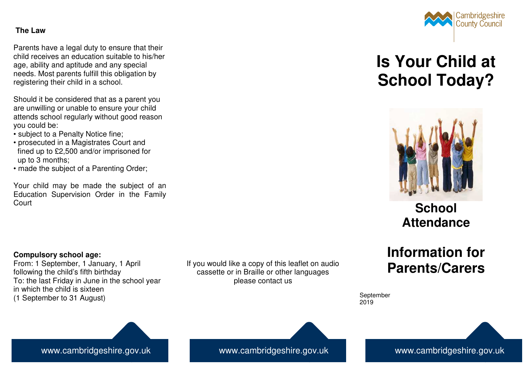## **The Law**

Parents have a legal duty to ensure that their child receives an education suitable to his/her age, ability and aptitude and any special needs. Most parents fulfill this obligation by registering their child in a school.

Should it be considered that as a parent you are unwilling or unable to ensure your child attends school regularly without good reason you could be:

- subject to a Penalty Notice fine;
- prosecuted in a Magistrates Court and fined up to £2,500 and/or imprisoned for up to 3 months;
- made the subject of a Parenting Order;

Your child may be made the subject of an Education Supervision Order in the Family Court

## Cambridgeshire **County Council**

# **Is Your Child at School Today?**



## **School Attendance**

## **Information for Parents/Carers**

September 2019

### **Compulsory school age:**

 From: 1 September, 1 January, 1 April following the child's fifth birthday To: the last Friday in June in the school year in which the child is sixteen (1 September to 31 August)

If you would like a copy of this leaflet on audio cassette or in Braille or other languages please contact us

## www.cambridgeshire.gov.uk

www.cambridgeshire.gov.uk www.cambridgeshire.gov.uk